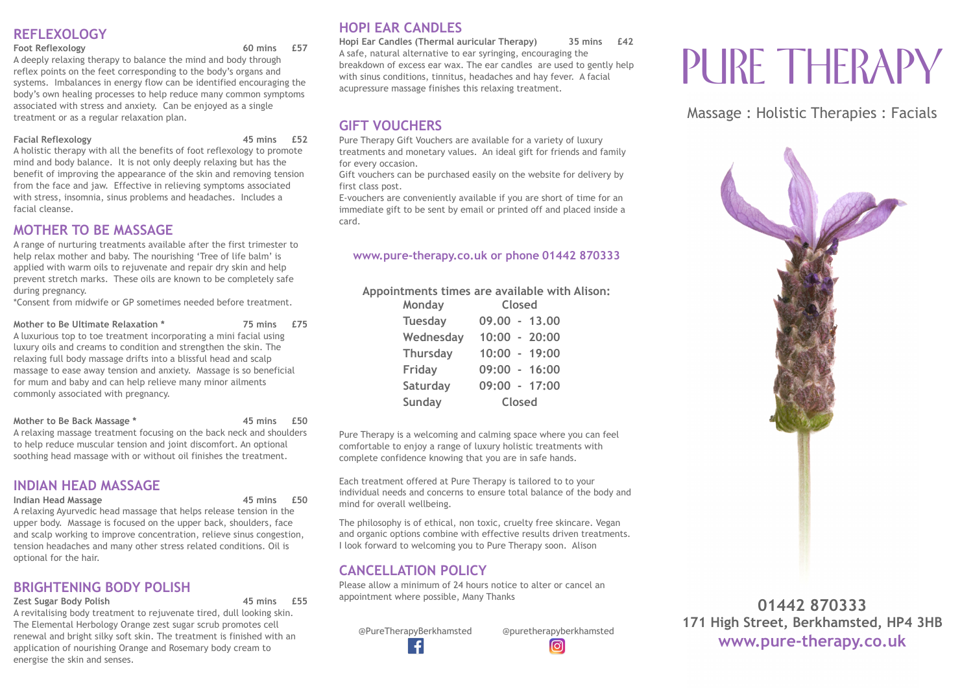# **REFLEXOLOGY**

#### **Foot Reflexology 60 mins £57**

A deeply relaxing therapy to balance the mind and body through reflex points on the feet corresponding to the body's organs and systems. Imbalances in energy flow can be identified encouraging the body's own healing processes to help reduce many common symptoms associated with stress and anxiety. Can be enjoyed as a single treatment or as a regular relaxation plan.

#### **Facial Reflexology 45 mins £52**

A holistic therapy with all the benefits of foot reflexology to promote mind and body balance. It is not only deeply relaxing but has the benefit of improving the appearance of the skin and removing tension from the face and jaw. Effective in relieving symptoms associated with stress, insomnia, sinus problems and headaches. Includes a facial cleanse.

## **MOTHER TO BE MASSAGE**

A range of nurturing treatments available after the first trimester to help relax mother and baby. The nourishing 'Tree of life balm' is applied with warm oils to rejuvenate and repair dry skin and help prevent stretch marks. These oils are known to be completely safe during pregnancy.

\*Consent from midwife or GP sometimes needed before treatment.

#### **Mother to Be Ultimate Relaxation \* 75 mins £75**

A luxurious top to toe treatment incorporating a mini facial using luxury oils and creams to condition and strengthen the skin. The relaxing full body massage drifts into a blissful head and scalp massage to ease away tension and anxiety. Massage is so beneficial for mum and baby and can help relieve many minor ailments commonly associated with pregnancy.

#### **Mother to Be Back Massage \* 45 mins £50**

A relaxing massage treatment focusing on the back neck and shoulders to help reduce muscular tension and joint discomfort. An optional soothing head massage with or without oil finishes the treatment.

# **INDIAN HEAD MASSAGE**

#### **Indian Head Massage 45 mins £50**

A relaxing Ayurvedic head massage that helps release tension in the upper body. Massage is focused on the upper back, shoulders, face and scalp working to improve concentration, relieve sinus congestion, tension headaches and many other stress related conditions. Oil is optional for the hair.

# **BRIGHTENING BODY POLISH**

**Zest Sugar Body Polish 45 mins £55**

A revitalising body treatment to rejuvenate tired, dull looking skin. The Elemental Herbology Orange zest sugar scrub promotes cell renewal and bright silky soft skin. The treatment is finished with an application of nourishing Orange and Rosemary body cream to energise the skin and senses.

# **HOPI EAR CANDLES**

**Hopi Ear Candles (Thermal auricular Therapy) 35 mins £42** A safe, natural alternative to ear syringing, encouraging the breakdown of excess ear wax. The ear candles are used to gently help with sinus conditions, tinnitus, headaches and hay fever. A facial acupressure massage finishes this relaxing treatment.

# **GIFT VOUCHERS**

Pure Therapy Gift Vouchers are available for a variety of luxury treatments and monetary values. An ideal gift for friends and family for every occasion.

Gift vouchers can be purchased easily on the website for delivery by first class post.

E-vouchers are conveniently available if you are short of time for an immediate gift to be sent by email or printed off and placed inside a card.

## **[www.pure-therapy.co.uk](http://www.pure-therapy.co.uk) or phone 01442 870333**

**Appointments times are available with Alison:**

| Monday          | Closed          |  |  |
|-----------------|-----------------|--|--|
| <b>Tuesday</b>  | $09.00 - 13.00$ |  |  |
| Wednesday       | $10:00 - 20:00$ |  |  |
| <b>Thursday</b> | $10:00 - 19:00$ |  |  |
| Friday          | 09:00 - 16:00   |  |  |
| Saturday        | 09:00 - 17:00   |  |  |
| Sunday          | Closed          |  |  |

Pure Therapy is a welcoming and calming space where you can feel comfortable to enjoy a range of luxury holistic treatments with complete confidence knowing that you are in safe hands.

Each treatment offered at Pure Therapy is tailored to to your individual needs and concerns to ensure total balance of the body and mind for overall wellbeing.

The philosophy is of ethical, non toxic, cruelty free skincare. Vegan and organic options combine with effective results driven treatments. I look forward to welcoming you to Pure Therapy soon. Alison

# **CANCELLATION POLICY**

Please allow a minimum of 24 hours notice to alter or cancel an appointment where possible, Many Thanks

 @PureTherapyBerkhamsted @puretherapyberkhamsted Æ.

 $\overline{\bigcirc}$ 

# PURE THERAPY

Massage : Holistic Therapies : Facials



**01442 870333 171 High Street, Berkhamsted, HP4 3HB www.pure-therapy.co.uk**